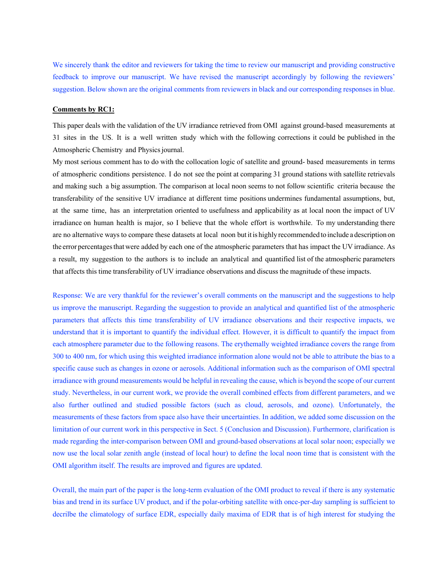We sincerely thank the editor and reviewers for taking the time to review our manuscript and providing constructive feedback to improve our manuscript. We have revised the manuscript accordingly by following the reviewers' suggestion. Below shown are the original comments from reviewers in black and our corresponding responses in blue.

## **Comments by RC1:**

This paper deals with the validation of the UV irradiance retrieved from OMI against ground-based measurements at 31 sites in the US. It is a well written study which with the following corrections it could be published in the Atmospheric Chemistry and Physics journal.

My most serious comment has to do with the collocation logic of satellite and ground- based measurements in terms of atmospheric conditions persistence. I do not see the point at comparing 31 ground stations with satellite retrievals and making such a big assumption. The comparison at local noon seems to not follow scientific criteria because the transferability of the sensitive UV irradiance at different time positions undermines fundamental assumptions, but, at the same time, has an interpretation oriented to usefulness and applicability as at local noon the impact of UV irradiance on human health is major, so I believe that the whole effort is worthwhile. To my understanding there are no alternative ways to compare these datasets at local noon butitis highly recommended to include a description on the error percentagesthatwere added by each one of the atmospheric parameters that has impact the UV irradiance. As a result, my suggestion to the authors is to include an analytical and quantified list of the atmospheric parameters that affects this time transferability of UV irradiance observations and discuss the magnitude of these impacts.

Response: We are very thankful for the reviewer's overall comments on the manuscript and the suggestions to help us improve the manuscript. Regarding the suggestion to provide an analytical and quantified list of the atmospheric parameters that affects this time transferability of UV irradiance observations and their respective impacts, we understand that it is important to quantify the individual effect. However, it is difficult to quantify the impact from each atmosphere parameter due to the following reasons. The erythemally weighted irradiance covers the range from 300 to 400 nm, for which using this weighted irradiance information alone would not be able to attribute the bias to a specific cause such as changes in ozone or aerosols. Additional information such as the comparison of OMI spectral irradiance with ground measurements would be helpful in revealing the cause, which is beyond the scope of our current study. Nevertheless, in our current work, we provide the overall combined effects from different parameters, and we also further outlined and studied possible factors (such as cloud, aerosols, and ozone). Unfortunately, the measurements of these factors from space also have their uncertainties. In addition, we added some discussion on the limitation of our current work in this perspective in Sect. 5 (Conclusion and Discussion). Furthermore, clarification is made regarding the inter-comparison between OMI and ground-based observations at local solar noon; especially we now use the local solar zenith angle (instead of local hour) to define the local noon time that is consistent with the OMI algorithm itself. The results are improved and figures are updated.

Overall, the main part of the paper is the long-term evaluation of the OMI product to reveal if there is any systematic bias and trend in its surface UV product, and if the polar-orbiting satellite with once-per-day sampling is sufficient to decrilbe the climatology of surface EDR, especially daily maxima of EDR that is of high interest for studying the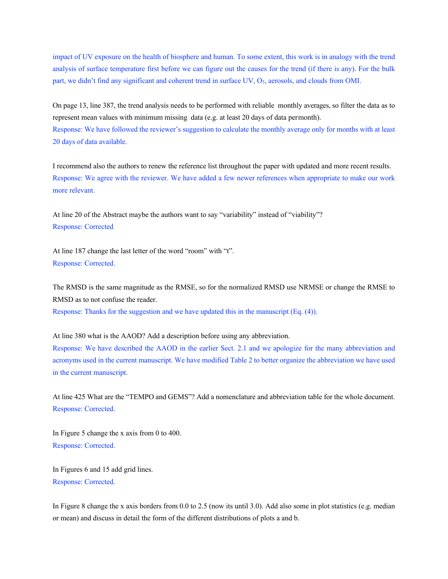impact of UV exposure on the health of biosphere and human. To some extent, this work is in analogy with the trend analysis of surface temperature first before we can figure out the causes for the trend (if there is any). For the bulk part, we didn't find any significant and coherent trend in surface UV, O<sub>3</sub>, aerosols, and clouds from OMI.

On page 13, line 387, the trend analysis needs to be performed with reliable monthly averages, so filter the data as to represent mean values with minimum missing data (e.g. at least 20 days of data permonth). Response: We have followed the reviewer's suggestion to calculate the monthly average only for months with at least 20 days of data available.

I recommend also the authors to renew the reference list throughout the paper with updated and more recent results. Response: We agree with the reviewer. We have added a few newer references when appropriate to make our work more relevant.

At line 20 of the Abstract maybe the authors want to say "variability" instead of "viability"? Response: Corrected

At line 187 change the last letter of the word "room" with "t". Response: Corrected.

The RMSD is the same magnitude as the RMSE, so for the normalized RMSD use NRMSE or change the RMSE to RMSD as to not confuse the reader. Response: Thanks for the suggestion and we have updated this in the manuscript (Eq. (4)).

At line 380 what is the AAOD? Add a description before using any abbreviation. Response: We have described the AAOD in the earlier Sect. 2.1 and we apologize for the many abbreviation and acronyms used in the current manuscript. We have modified Table 2 to better organize the abbreviation we have used in the current manuscript.

At line 425 What are the "TEMPO and GEMS"? Add a nomenclature and abbreviation table for the whole document. Response: Corrected.

In Figure 5 change the x axis from 0 to 400. Response: Corrected.

In Figures 6 and 15 add grid lines. Response: Corrected.

In Figure 8 change the x axis borders from 0.0 to 2.5 (now its until 3.0). Add also some in plot statistics (e.g. median or mean) and discuss in detail the form of the different distributions of plots a and b.